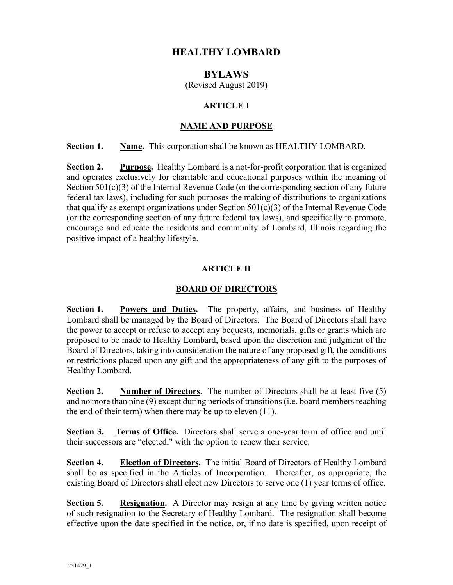# **HEALTHY LOMBARD**

### **BYLAWS**

(Revised August 2019)

# **ARTICLE I**

### **NAME AND PURPOSE**

**Section 1. Name.** This corporation shall be known as HEALTHY LOMBARD.

**Section 2. Purpose.** Healthy Lombard is a not-for-profit corporation that is organized and operates exclusively for charitable and educational purposes within the meaning of Section 501(c)(3) of the Internal Revenue Code (or the corresponding section of any future federal tax laws), including for such purposes the making of distributions to organizations that qualify as exempt organizations under Section  $501(c)(3)$  of the Internal Revenue Code (or the corresponding section of any future federal tax laws), and specifically to promote, encourage and educate the residents and community of Lombard, Illinois regarding the positive impact of a healthy lifestyle.

# **ARTICLE II**

### **BOARD OF DIRECTORS**

**Section 1. Powers and Duties.** The property, affairs, and business of Healthy Lombard shall be managed by the Board of Directors. The Board of Directors shall have the power to accept or refuse to accept any bequests, memorials, gifts or grants which are proposed to be made to Healthy Lombard, based upon the discretion and judgment of the Board of Directors, taking into consideration the nature of any proposed gift, the conditions or restrictions placed upon any gift and the appropriateness of any gift to the purposes of Healthy Lombard.

**Section 2. Number of Directors**. The number of Directors shall be at least five (5) and no more than nine (9) except during periods of transitions (i.e. board members reaching the end of their term) when there may be up to eleven (11).

**Section 3. Terms of Office.** Directors shall serve a one-year term of office and until their successors are "elected," with the option to renew their service.

**Section 4. Election of Directors.** The initial Board of Directors of Healthy Lombard shall be as specified in the Articles of Incorporation. Thereafter, as appropriate, the existing Board of Directors shall elect new Directors to serve one (1) year terms of office.

**Section 5. Resignation.** A Director may resign at any time by giving written notice of such resignation to the Secretary of Healthy Lombard. The resignation shall become effective upon the date specified in the notice, or, if no date is specified, upon receipt of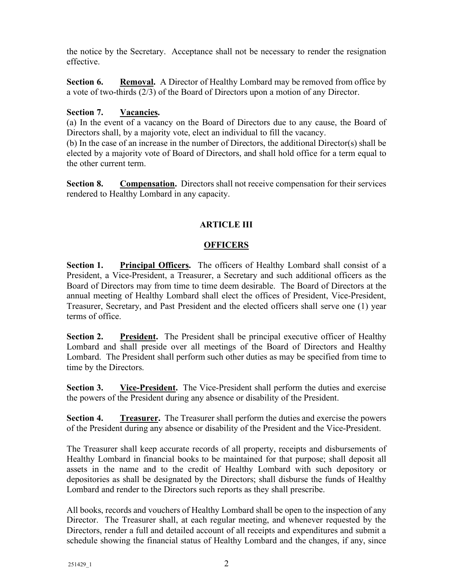the notice by the Secretary. Acceptance shall not be necessary to render the resignation effective.

**Section 6. Removal.** A Director of Healthy Lombard may be removed from office by a vote of two-thirds (2/3) of the Board of Directors upon a motion of any Director.

#### **Section 7. Vacancies.**

(a) In the event of a vacancy on the Board of Directors due to any cause, the Board of Directors shall, by a majority vote, elect an individual to fill the vacancy.

(b) In the case of an increase in the number of Directors, the additional Director(s) shall be elected by a majority vote of Board of Directors, and shall hold office for a term equal to the other current term.

**Section 8. Compensation.** Directors shall not receive compensation for their services rendered to Healthy Lombard in any capacity.

#### **ARTICLE III**

#### **OFFICERS**

**Section 1. Principal Officers.** The officers of Healthy Lombard shall consist of a President, a Vice-President, a Treasurer, a Secretary and such additional officers as the Board of Directors may from time to time deem desirable. The Board of Directors at the annual meeting of Healthy Lombard shall elect the offices of President, Vice-President, Treasurer, Secretary, and Past President and the elected officers shall serve one (1) year terms of office.

**Section 2. President.** The President shall be principal executive officer of Healthy Lombard and shall preside over all meetings of the Board of Directors and Healthy Lombard. The President shall perform such other duties as may be specified from time to time by the Directors.

**Section 3. Vice-President.** The Vice-President shall perform the duties and exercise the powers of the President during any absence or disability of the President.

**Section 4. Treasurer.** The Treasurer shall perform the duties and exercise the powers of the President during any absence or disability of the President and the Vice-President.

The Treasurer shall keep accurate records of all property, receipts and disbursements of Healthy Lombard in financial books to be maintained for that purpose; shall deposit all assets in the name and to the credit of Healthy Lombard with such depository or depositories as shall be designated by the Directors; shall disburse the funds of Healthy Lombard and render to the Directors such reports as they shall prescribe.

All books, records and vouchers of Healthy Lombard shall be open to the inspection of any Director. The Treasurer shall, at each regular meeting, and whenever requested by the Directors, render a full and detailed account of all receipts and expenditures and submit a schedule showing the financial status of Healthy Lombard and the changes, if any, since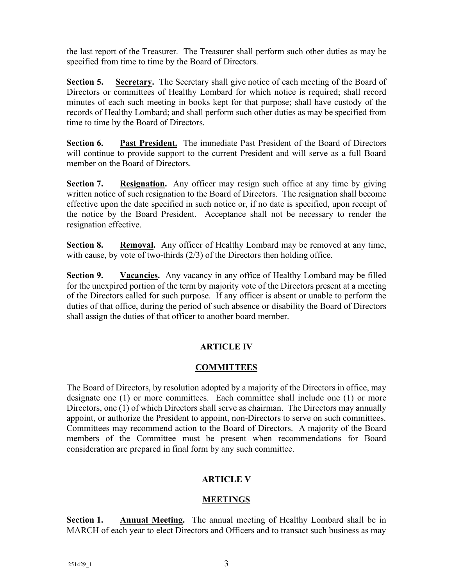the last report of the Treasurer. The Treasurer shall perform such other duties as may be specified from time to time by the Board of Directors.

**Section 5.** Secretary. The Secretary shall give notice of each meeting of the Board of Directors or committees of Healthy Lombard for which notice is required; shall record minutes of each such meeting in books kept for that purpose; shall have custody of the records of Healthy Lombard; and shall perform such other duties as may be specified from time to time by the Board of Directors.

**Section 6. Past President.** The immediate Past President of the Board of Directors will continue to provide support to the current President and will serve as a full Board member on the Board of Directors.

**Section 7. Resignation.** Any officer may resign such office at any time by giving written notice of such resignation to the Board of Directors. The resignation shall become effective upon the date specified in such notice or, if no date is specified, upon receipt of the notice by the Board President. Acceptance shall not be necessary to render the resignation effective.

**Section 8. Removal.** Any officer of Healthy Lombard may be removed at any time, with cause, by vote of two-thirds (2/3) of the Directors then holding office.

**Section 9. Vacancies.** Any vacancy in any office of Healthy Lombard may be filled for the unexpired portion of the term by majority vote of the Directors present at a meeting of the Directors called for such purpose. If any officer is absent or unable to perform the duties of that office, during the period of such absence or disability the Board of Directors shall assign the duties of that officer to another board member.

# **ARTICLE IV**

#### **COMMITTEES**

The Board of Directors, by resolution adopted by a majority of the Directors in office, may designate one (1) or more committees. Each committee shall include one (1) or more Directors, one (1) of which Directors shall serve as chairman. The Directors may annually appoint, or authorize the President to appoint, non-Directors to serve on such committees. Committees may recommend action to the Board of Directors. A majority of the Board members of the Committee must be present when recommendations for Board consideration are prepared in final form by any such committee.

# **ARTICLE V**

#### **MEETINGS**

**Section 1. Annual Meeting.** The annual meeting of Healthy Lombard shall be in MARCH of each year to elect Directors and Officers and to transact such business as may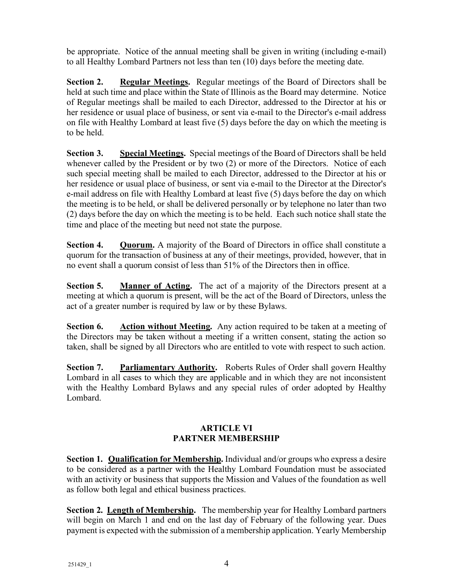be appropriate. Notice of the annual meeting shall be given in writing (including e-mail) to all Healthy Lombard Partners not less than ten (10) days before the meeting date.

**Section 2. Regular Meetings.** Regular meetings of the Board of Directors shall be held at such time and place within the State of Illinois as the Board may determine. Notice of Regular meetings shall be mailed to each Director, addressed to the Director at his or her residence or usual place of business, or sent via e-mail to the Director's e-mail address on file with Healthy Lombard at least five (5) days before the day on which the meeting is to be held.

**Section 3. Special Meetings.** Special meetings of the Board of Directors shall be held whenever called by the President or by two (2) or more of the Directors. Notice of each such special meeting shall be mailed to each Director, addressed to the Director at his or her residence or usual place of business, or sent via e-mail to the Director at the Director's e-mail address on file with Healthy Lombard at least five (5) days before the day on which the meeting is to be held, or shall be delivered personally or by telephone no later than two (2) days before the day on which the meeting is to be held. Each such notice shall state the time and place of the meeting but need not state the purpose.

**Section 4. Quorum.** A majority of the Board of Directors in office shall constitute a quorum for the transaction of business at any of their meetings, provided, however, that in no event shall a quorum consist of less than 51% of the Directors then in office.

**Section 5. Manner of Acting.** The act of a majority of the Directors present at a meeting at which a quorum is present, will be the act of the Board of Directors, unless the act of a greater number is required by law or by these Bylaws.

**Section 6. Action without Meeting.** Any action required to be taken at a meeting of the Directors may be taken without a meeting if a written consent, stating the action so taken, shall be signed by all Directors who are entitled to vote with respect to such action.

**Section 7. Parliamentary Authority.** Roberts Rules of Order shall govern Healthy Lombard in all cases to which they are applicable and in which they are not inconsistent with the Healthy Lombard Bylaws and any special rules of order adopted by Healthy Lombard.

### **ARTICLE VI PARTNER MEMBERSHIP**

**Section 1. Qualification for Membership.** Individual and/or groups who express a desire to be considered as a partner with the Healthy Lombard Foundation must be associated with an activity or business that supports the Mission and Values of the foundation as well as follow both legal and ethical business practices.

**Section 2. Length of Membership.** The membership year for Healthy Lombard partners will begin on March 1 and end on the last day of February of the following year. Dues payment is expected with the submission of a membership application. Yearly Membership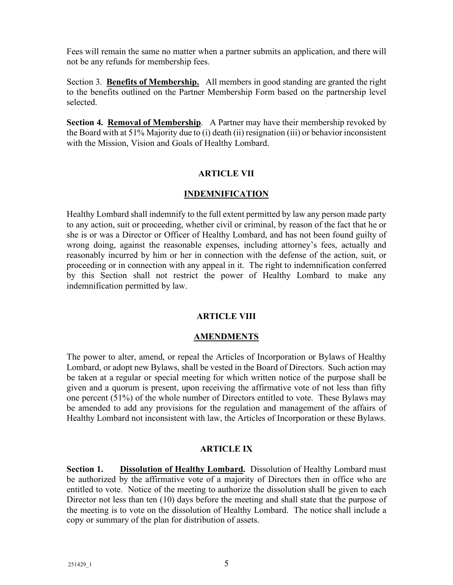Fees will remain the same no matter when a partner submits an application, and there will not be any refunds for membership fees.

Section 3. **Benefits of Membership.** All members in good standing are granted the right to the benefits outlined on the Partner Membership Form based on the partnership level selected.

**Section 4. Removal of Membership**. A Partner may have their membership revoked by the Board with at 51% Majority due to (i) death (ii) resignation (iii) or behavior inconsistent with the Mission, Vision and Goals of Healthy Lombard.

### **ARTICLE VII**

#### **INDEMNIFICATION**

Healthy Lombard shall indemnify to the full extent permitted by law any person made party to any action, suit or proceeding, whether civil or criminal, by reason of the fact that he or she is or was a Director or Officer of Healthy Lombard, and has not been found guilty of wrong doing, against the reasonable expenses, including attorney's fees, actually and reasonably incurred by him or her in connection with the defense of the action, suit, or proceeding or in connection with any appeal in it. The right to indemnification conferred by this Section shall not restrict the power of Healthy Lombard to make any indemnification permitted by law.

#### **ARTICLE VIII**

#### **AMENDMENTS**

The power to alter, amend, or repeal the Articles of Incorporation or Bylaws of Healthy Lombard, or adopt new Bylaws, shall be vested in the Board of Directors. Such action may be taken at a regular or special meeting for which written notice of the purpose shall be given and a quorum is present, upon receiving the affirmative vote of not less than fifty one percent (51%) of the whole number of Directors entitled to vote. These Bylaws may be amended to add any provisions for the regulation and management of the affairs of Healthy Lombard not inconsistent with law, the Articles of Incorporation or these Bylaws.

#### **ARTICLE IX**

**Section 1. Dissolution of Healthy Lombard.** Dissolution of Healthy Lombard must be authorized by the affirmative vote of a majority of Directors then in office who are entitled to vote. Notice of the meeting to authorize the dissolution shall be given to each Director not less than ten (10) days before the meeting and shall state that the purpose of the meeting is to vote on the dissolution of Healthy Lombard. The notice shall include a copy or summary of the plan for distribution of assets.